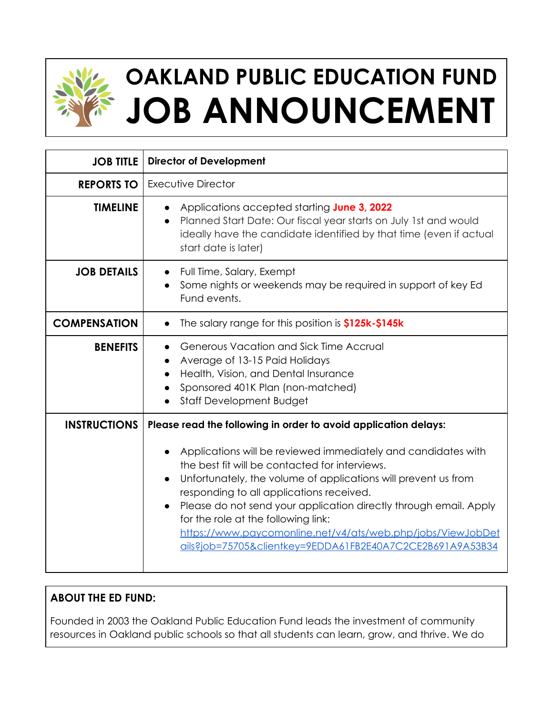

# **OAKLAND PUBLIC EDUCATION FUND JOB ANNOUNCEMENT**

| <b>JOB TITLE</b>    | <b>Director of Development</b>                                                                                                                                                                                                                                                                                                                                                                                                                                                                                                           |
|---------------------|------------------------------------------------------------------------------------------------------------------------------------------------------------------------------------------------------------------------------------------------------------------------------------------------------------------------------------------------------------------------------------------------------------------------------------------------------------------------------------------------------------------------------------------|
| <b>REPORTS TO</b>   | Executive Director                                                                                                                                                                                                                                                                                                                                                                                                                                                                                                                       |
| <b>TIMELINE</b>     | Applications accepted starting June 3, 2022<br>Planned Start Date: Our fiscal year starts on July 1st and would<br>$\bullet$<br>ideally have the candidate identified by that time (even if actual<br>start date is later)                                                                                                                                                                                                                                                                                                               |
| <b>JOB DETAILS</b>  | Full Time, Salary, Exempt<br>$\bullet$<br>Some nights or weekends may be required in support of key Ed<br>Fund events.                                                                                                                                                                                                                                                                                                                                                                                                                   |
| <b>COMPENSATION</b> | The salary range for this position is \$125k-\$145k<br>$\bullet$                                                                                                                                                                                                                                                                                                                                                                                                                                                                         |
| <b>BENEFITS</b>     | Generous Vacation and Sick Time Accrual<br>Average of 13-15 Paid Holidays<br>Health, Vision, and Dental Insurance<br>Sponsored 401K Plan (non-matched)<br>Staff Development Budget                                                                                                                                                                                                                                                                                                                                                       |
| <b>INSTRUCTIONS</b> | Please read the following in order to avoid application delays:<br>Applications will be reviewed immediately and candidates with<br>the best fit will be contacted for interviews.<br>Unfortunately, the volume of applications will prevent us from<br>responding to all applications received.<br>Please do not send your application directly through email. Apply<br>for the role at the following link:<br>https://www.paycomonline.net/v4/ats/web.php/jobs/ViewJobDet<br>ails?job=75705&clientkey=9EDDA61FB2E40A7C2CE2B691A9A53B34 |

# **ABOUT THE ED FUND:**

Founded in 2003 the Oakland Public Education Fund leads the investment of community resources in Oakland public schools so that all students can learn, grow, and thrive. We do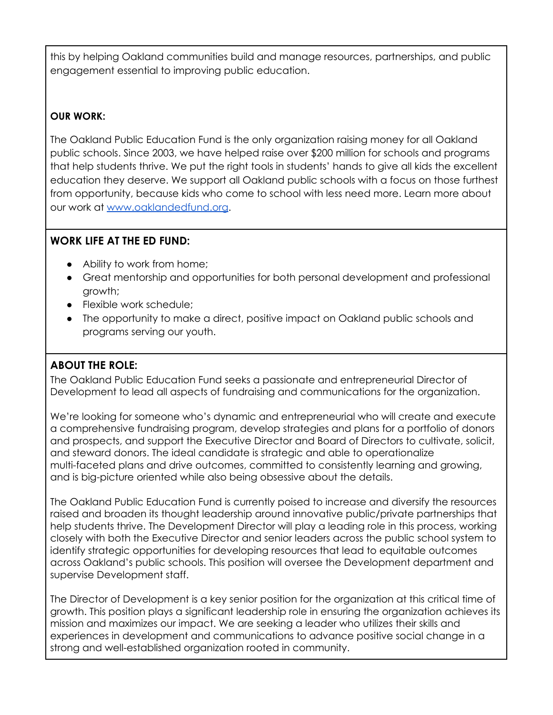this by helping Oakland communities build and manage resources, partnerships, and public engagement essential to improving public education.

#### **OUR WORK:**

The Oakland Public Education Fund is the only organization raising money for all Oakland public schools. Since 2003, we have helped raise over \$200 million for schools and programs that help students thrive. We put the right tools in students' hands to give all kids the excellent education they deserve. We support all Oakland public schools with a focus on those furthest from opportunity, because kids who come to school with less need more. Learn more about our work at [www.oaklandedfund.org](http://www.oaklandedfund.org/).

#### **WORK LIFE AT THE ED FUND:**

- Ability to work from home;
- Great mentorship and opportunities for both personal development and professional growth;
- Flexible work schedule;
- The opportunity to make a direct, positive impact on Oakland public schools and programs serving our youth.

#### **ABOUT THE ROLE:**

The Oakland Public Education Fund seeks a passionate and entrepreneurial Director of Development to lead all aspects of fundraising and communications for the organization.

We're looking for someone who's dynamic and entrepreneurial who will create and execute a comprehensive fundraising program, develop strategies and plans for a portfolio of donors and prospects, and support the Executive Director and Board of Directors to cultivate, solicit, and steward donors. The ideal candidate is strategic and able to operationalize multi-faceted plans and drive outcomes, committed to consistently learning and growing, and is big-picture oriented while also being obsessive about the details.

The Oakland Public Education Fund is currently poised to increase and diversify the resources raised and broaden its thought leadership around innovative public/private partnerships that help students thrive. The Development Director will play a leading role in this process, working closely with both the Executive Director and senior leaders across the public school system to identify strategic opportunities for developing resources that lead to equitable outcomes across Oakland's public schools. This position will oversee the Development department and supervise Development staff.

The Director of Development is a key senior position for the organization at this critical time of growth. This position plays a significant leadership role in ensuring the organization achieves its mission and maximizes our impact. We are seeking a leader who utilizes their skills and experiences in development and communications to advance positive social change in a strong and well-established organization rooted in community.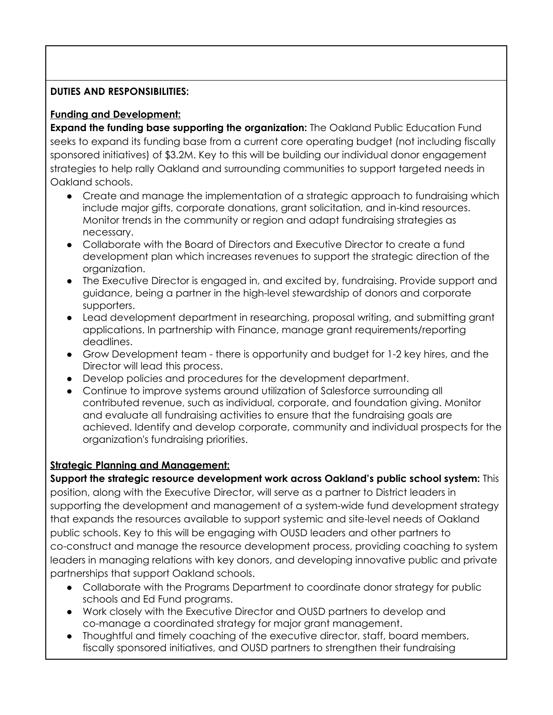#### **DUTIES AND RESPONSIBILITIES:**

#### **Funding and Development:**

**Expand the funding base supporting the organization:** The Oakland Public Education Fund seeks to expand its funding base from a current core operating budget (not including fiscally sponsored initiatives) of \$3.2M. Key to this will be building our individual donor engagement strategies to help rally Oakland and surrounding communities to support targeted needs in Oakland schools.

- Create and manage the implementation of a strategic approach to fundraising which include major gifts, corporate donations, grant solicitation, and in-kind resources. Monitor trends in the community or region and adapt fundraising strategies as necessary.
- Collaborate with the Board of Directors and Executive Director to create a fund development plan which increases revenues to support the strategic direction of the organization.
- The Executive Director is engaged in, and excited by, fundraising. Provide support and guidance, being a partner in the high-level stewardship of donors and corporate supporters.
- Lead development department in researching, proposal writing, and submitting grant applications. In partnership with Finance, manage grant requirements/reporting deadlines.
- Grow Development team there is opportunity and budget for 1-2 key hires, and the Director will lead this process.
- Develop policies and procedures for the development department.
- Continue to improve systems around utilization of Salesforce surrounding all contributed revenue, such as individual, corporate, and foundation giving. Monitor and evaluate all fundraising activities to ensure that the fundraising goals are achieved. Identify and develop corporate, community and individual prospects for the organization's fundraising priorities.

#### **Strategic Planning and Management:**

**Support the strategic resource development work across Oakland's public school system:** This position, along with the Executive Director, will serve as a partner to District leaders in supporting the development and management of a system-wide fund development strategy that expands the resources available to support systemic and site-level needs of Oakland public schools. Key to this will be engaging with OUSD leaders and other partners to co-construct and manage the resource development process, providing coaching to system leaders in managing relations with key donors, and developing innovative public and private partnerships that support Oakland schools.

- Collaborate with the Programs Department to coordinate donor strategy for public schools and Ed Fund programs.
- Work closely with the Executive Director and OUSD partners to develop and co-manage a coordinated strategy for major grant management.
- Thoughtful and timely coaching of the executive director, staff, board members, fiscally sponsored initiatives, and OUSD partners to strengthen their fundraising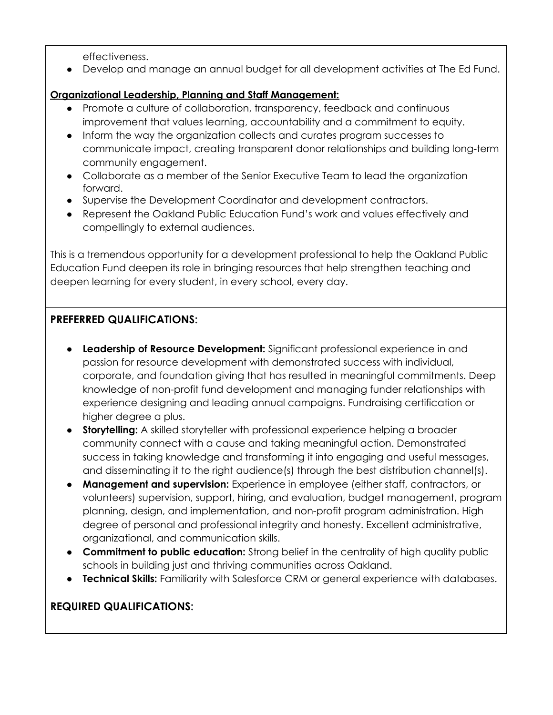effectiveness.

● Develop and manage an annual budget for all development activities at The Ed Fund.

#### **Organizational Leadership, Planning and Staff Management:**

- Promote a culture of collaboration, transparency, feedback and continuous improvement that values learning, accountability and a commitment to equity.
- Inform the way the organization collects and curates program successes to communicate impact, creating transparent donor relationships and building long-term community engagement.
- Collaborate as a member of the Senior Executive Team to lead the organization forward.
- Supervise the Development Coordinator and development contractors.
- Represent the Oakland Public Education Fund's work and values effectively and compellingly to external audiences.

This is a tremendous opportunity for a development professional to help the Oakland Public Education Fund deepen its role in bringing resources that help strengthen teaching and deepen learning for every student, in every school, every day.

#### **PREFERRED QUALIFICATIONS:**

- **Leadership of Resource Development:** Significant professional experience in and passion for resource development with demonstrated success with individual, corporate, and foundation giving that has resulted in meaningful commitments. Deep knowledge of non-profit fund development and managing funder relationships with experience designing and leading annual campaigns. Fundraising certification or higher degree a plus.
- **Storytelling:** A skilled storyteller with professional experience helping a broader community connect with a cause and taking meaningful action. Demonstrated success in taking knowledge and transforming it into engaging and useful messages, and disseminating it to the right audience(s) through the best distribution channel(s).
- **Management and supervision:** Experience in employee (either staff, contractors, or volunteers) supervision, support, hiring, and evaluation, budget management, program planning, design, and implementation, and non-profit program administration. High degree of personal and professional integrity and honesty. Excellent administrative, organizational, and communication skills.
- **Commitment to public education:** Strong belief in the centrality of high quality public schools in building just and thriving communities across Oakland.
- **Technical Skills:** Familiarity with Salesforce CRM or general experience with databases.

## **REQUIRED QUALIFICATIONS:**